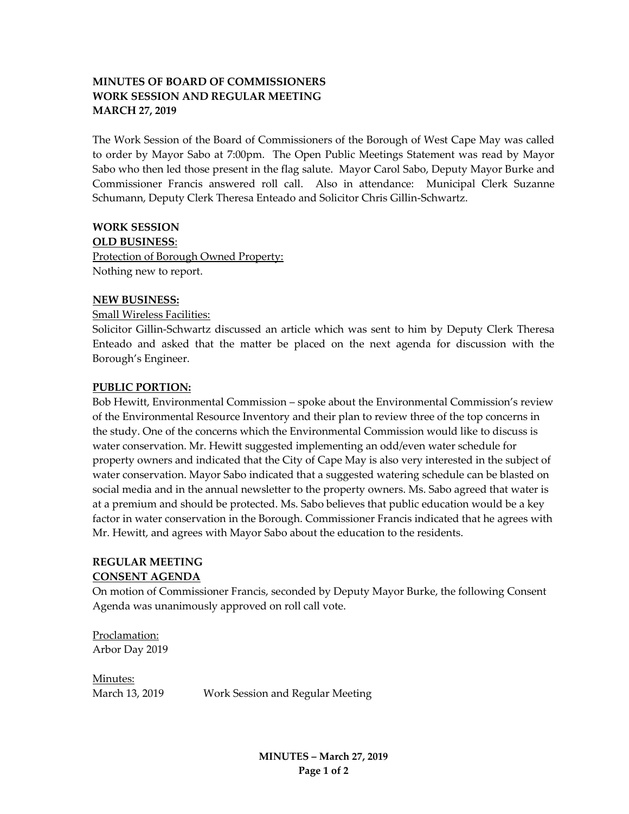# **MINUTES OF BOARD OF COMMISSIONERS WORK SESSION AND REGULAR MEETING MARCH 27, 2019**

The Work Session of the Board of Commissioners of the Borough of West Cape May was called to order by Mayor Sabo at 7:00pm. The Open Public Meetings Statement was read by Mayor Sabo who then led those present in the flag salute. Mayor Carol Sabo, Deputy Mayor Burke and Commissioner Francis answered roll call. Also in attendance: Municipal Clerk Suzanne Schumann, Deputy Clerk Theresa Enteado and Solicitor Chris Gillin-Schwartz.

## **WORK SESSION**

**OLD BUSINESS**:

Protection of Borough Owned Property: Nothing new to report.

#### **NEW BUSINESS:**

Small Wireless Facilities:

Solicitor Gillin-Schwartz discussed an article which was sent to him by Deputy Clerk Theresa Enteado and asked that the matter be placed on the next agenda for discussion with the Borough's Engineer.

#### **PUBLIC PORTION:**

Bob Hewitt, Environmental Commission – spoke about the Environmental Commission's review of the Environmental Resource Inventory and their plan to review three of the top concerns in the study. One of the concerns which the Environmental Commission would like to discuss is water conservation. Mr. Hewitt suggested implementing an odd/even water schedule for property owners and indicated that the City of Cape May is also very interested in the subject of water conservation. Mayor Sabo indicated that a suggested watering schedule can be blasted on social media and in the annual newsletter to the property owners. Ms. Sabo agreed that water is at a premium and should be protected. Ms. Sabo believes that public education would be a key factor in water conservation in the Borough. Commissioner Francis indicated that he agrees with Mr. Hewitt, and agrees with Mayor Sabo about the education to the residents.

# **REGULAR MEETING**

#### **CONSENT AGENDA**

On motion of Commissioner Francis, seconded by Deputy Mayor Burke, the following Consent Agenda was unanimously approved on roll call vote.

Proclamation: Arbor Day 2019

Minutes:

March 13, 2019 Work Session and Regular Meeting

**MINUTES – March 27, 2019 Page 1 of 2**